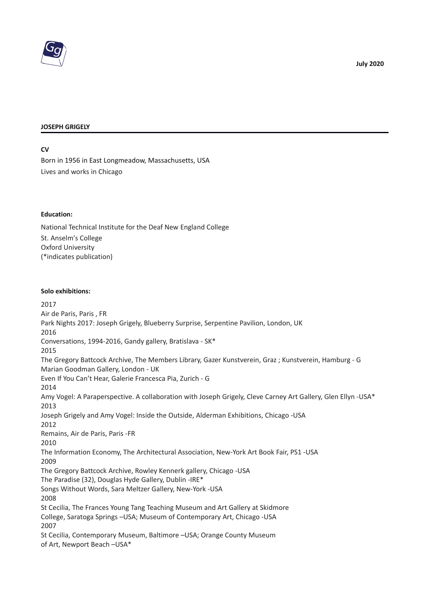

#### **JOSEPH GRIGELY**

**CV**

Born in 1956 in East Longmeadow, Massachusetts, USA Lives and works in Chicago

#### **Education:**

National Technical Institute for the Deaf New England College St. Anselm's College Oxford University (\*indicates publication)

#### **Solo exhibitions:**

2017 Air de Paris, Paris , FR Park Nights 2017: Joseph Grigely, Blueberry Surprise, Serpentine Pavilion, London, UK 2016 Conversations, 1994-2016, Gandy gallery, Bratislava - SK\* 2015 The Gregory Battcock Archive, The Members Library, Gazer Kunstverein, Graz ; Kunstverein, Hamburg - G Marian Goodman Gallery, London - UK Even If You Can't Hear, Galerie Francesca Pia, Zurich - G 2014 Amy Vogel: A Paraperspective. A collaboration with Joseph Grigely, Cleve Carney Art Gallery, Glen Ellyn -USA\* 2013 Joseph Grigely and Amy Vogel: Inside the Outside, Alderman Exhibitions, Chicago -USA 2012 Remains, Air de Paris, Paris -FR 2010 The Information Economy, The Architectural Association, New-York Art Book Fair, PS1 -USA 2009 The Gregory Battcock Archive, Rowley Kennerk gallery, Chicago -USA The Paradise (32), Douglas Hyde Gallery, Dublin -IRE\* Songs Without Words, Sara Meltzer Gallery, New-York -USA 2008 St Cecilia, The Frances Young Tang Teaching Museum and Art Gallery at Skidmore College, Saratoga Springs –USA; Museum of Contemporary Art, Chicago -USA 2007 St Cecilia, Contemporary Museum, Baltimore –USA; Orange County Museum of Art, Newport Beach –USA\*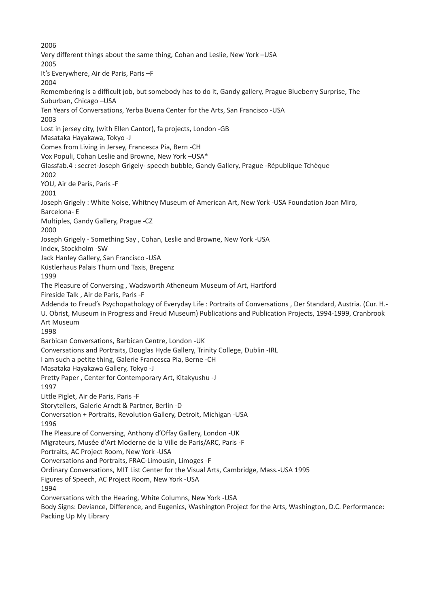2006 Very different things about the same thing, Cohan and Leslie, New York –USA 2005 It's Everywhere, Air de Paris, Paris –F 2004 Remembering is a difficult job, but somebody has to do it, Gandy gallery, Prague Blueberry Surprise, The Suburban, Chicago –USA Ten Years of Conversations, Yerba Buena Center for the Arts, San Francisco -USA 2003 Lost in jersey city, (with Ellen Cantor), fa projects, London -GB Masataka Hayakawa, Tokyo -J Comes from Living in Jersey, Francesca Pia, Bern -CH Vox Populi, Cohan Leslie and Browne, New York –USA\* Glassfab.4 : secret-Joseph Grigely- speech bubble, Gandy Gallery, Prague -République Tchèque 2002 YOU, Air de Paris, Paris -F 2001 Joseph Grigely : White Noise, Whitney Museum of American Art, New York -USA Foundation Joan Miro, Barcelona- E Multiples, Gandy Gallery, Prague -CZ 2000 Joseph Grigely - Something Say , Cohan, Leslie and Browne, New York -USA Index, Stockholm -SW Jack Hanley Gallery, San Francisco -USA Küstlerhaus Palais Thurn und Taxis, Bregenz 1999 The Pleasure of Conversing , Wadsworth Atheneum Museum of Art, Hartford Fireside Talk , Air de Paris, Paris -F Addenda to Freud's Psychopathology of Everyday Life : Portraits of Conversations , Der Standard, Austria. (Cur. H.- U. Obrist, Museum in Progress and Freud Museum) Publications and Publication Projects, 1994-1999, Cranbrook Art Museum 1998 Barbican Conversations, Barbican Centre, London -UK Conversations and Portraits, Douglas Hyde Gallery, Trinity College, Dublin -IRL I am such a petite thing, Galerie Francesca Pia, Berne -CH Masataka Hayakawa Gallery, Tokyo -J Pretty Paper , Center for Contemporary Art, Kitakyushu -J 1997 Little Piglet, Air de Paris, Paris -F Storytellers, Galerie Arndt & Partner, Berlin -D Conversation + Portraits, Revolution Gallery, Detroit, Michigan -USA 1996 The Pleasure of Conversing, Anthony d'Offay Gallery, London -UK Migrateurs, Musée d'Art Moderne de la Ville de Paris/ARC, Paris -F Portraits, AC Project Room, New York -USA Conversations and Portraits, FRAC-Limousin, Limoges -F Ordinary Conversations, MIT List Center for the Visual Arts, Cambridge, Mass.-USA 1995 Figures of Speech, AC Project Room, New York -USA 1994 Conversations with the Hearing, White Columns, New York -USA Body Signs: Deviance, Difference, and Eugenics, Washington Project for the Arts, Washington, D.C. Performance: Packing Up My Library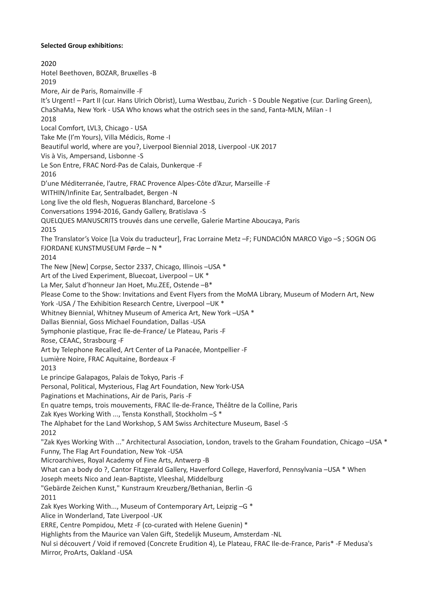#### **Selected Group exhibitions:**

 $2020$ Hotel Beethoven, BOZAR, Bruxelles -B 2019 More, Air de Paris, Romainville -F It's Urgent! – Part II (cur. Hans Ulrich Obrist), Luma Westbau, Zurich - S Double Negative (cur. Darling Green), ChaShaMa, New York - USA Who knows what the ostrich sees in the sand, Fanta-MLN, Milan - I 2018 Local Comfort, LVL3, Chicago - USA Take Me (I'm Yours), Villa Médicis, Rome -I Beautiful world, where are you?, Liverpool Biennial 2018, Liverpool -UK 2017 Vis à Vis, Ampersand, Lisbonne -S Le Son Entre, FRAC Nord-Pas de Calais, Dunkerque -F 2016 D'une Méditerranée, l'autre, FRAC Provence Alpes-Côte d'Azur, Marseille -F WITHIN/Infinite Ear, Sentralbadet, Bergen -N Long live the old flesh, Nogueras Blanchard, Barcelone -S Conversations 1994-2016, Gandy Gallery, Bratislava -S QUELQUES MANUSCRITS trouvés dans une cervelle, Galerie Martine Aboucaya, Paris 2015 The Translator's Voice [La Voix du traducteur], Frac Lorraine Metz –F; FUNDACIÓN MARCO Vigo –S ; SOGN OG FJORDANE KUNSTMUSEUM Førde – N \* 2014 The New [New] Corpse, Sector 2337, Chicago, Illinois –USA \* Art of the Lived Experiment, Bluecoat, Liverpool – UK \* La Mer, Salut d'honneur Jan Hoet, Mu.ZEE, Ostende –B\* Please Come to the Show: Invitations and Event Flyers from the MoMA Library, Museum of Modern Art, New York -USA / The Exhibition Research Centre, Liverpool –UK \* Whitney Biennial, Whitney Museum of America Art, New York –USA \* Dallas Biennial, Goss Michael Foundation, Dallas -USA Symphonie plastique, Frac Ile-de-France/ Le Plateau, Paris -F Rose, CEAAC, Strasbourg -F Art by Telephone Recalled, Art Center of La Panacée, Montpellier -F Lumière Noire, FRAC Aquitaine, Bordeaux -F 2013 Le principe Galapagos, Palais de Tokyo, Paris -F Personal, Political, Mysterious, Flag Art Foundation, New York-USA Paginations et Machinations, Air de Paris, Paris -F En quatre temps, trois mouvements, FRAC Ile-de-France, Théâtre de la Colline, Paris Zak Kyes Working With ..., Tensta Konsthall, Stockholm –S \* The Alphabet for the Land Workshop, S AM Swiss Architecture Museum, Basel -S 2012 "Zak Kyes Working With ..." Architectural Association, London, travels to the Graham Foundation, Chicago –USA \* Funny, The Flag Art Foundation, New Yok -USA Microarchives, Royal Academy of Fine Arts, Antwerp -B What can a body do ?, Cantor Fitzgerald Gallery, Haverford College, Haverford, Pennsylvania –USA \* When Joseph meets Nico and Jean-Baptiste, Vleeshal, Middelburg "Gebärde Zeichen Kunst," Kunstraum Kreuzberg/Bethanian, Berlin -G 2011 Zak Kyes Working With..., Museum of Contemporary Art, Leipzig –G \* Alice in Wonderland, Tate Liverpool -UK ERRE, Centre Pompidou, Metz -F (co-curated with Helene Guenin) \* Highlights from the Maurice van Valen Gift, Stedelijk Museum, Amsterdam -NL Nul si découvert / Void if removed (Concrete Erudition 4), Le Plateau, FRAC Ile-de-France, Paris\* -F Medusa's Mirror, ProArts, Oakland -USA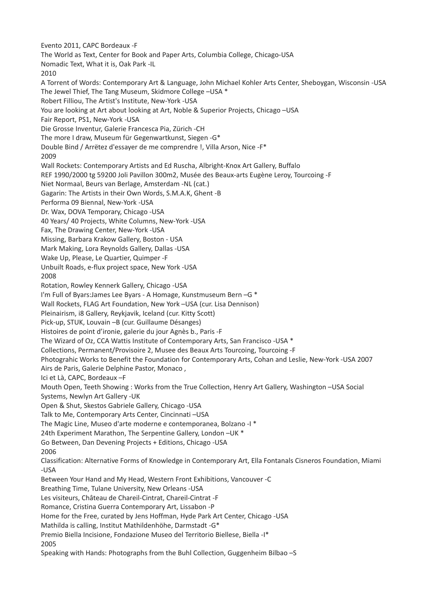Evento 2011, CAPC Bordeaux -F The World as Text, Center for Book and Paper Arts, Columbia College, Chicago-USA Nomadic Text, What it is, Oak Park -IL 2010 A Torrent of Words: Contemporary Art & Language, John Michael Kohler Arts Center, Sheboygan, Wisconsin -USA The Jewel Thief, The Tang Museum, Skidmore College –USA \* Robert Filliou, The Artist's Institute, New-York -USA You are looking at Art about looking at Art, Noble & Superior Projects, Chicago –USA Fair Report, PS1, New-York -USA Die Grosse Inventur, Galerie Francesca Pia, Zürich -CH The more I draw, Museum für Gegenwartkunst, Siegen -G\* Double Bind / Arrëtez d'essayer de me comprendre !, Villa Arson, Nice -F\* 2009 Wall Rockets: Contemporary Artists and Ed Ruscha, Albright-Knox Art Gallery, Buffalo REF 1990/2000 tg 59200 Joli Pavillon 300m2, Musée des Beaux-arts Eugène Leroy, Tourcoing -F Niet Normaal, Beurs van Berlage, Amsterdam -NL (cat.) Gagarin: The Artists in their Own Words, S.M.A.K, Ghent -B Performa 09 Biennal, New-York -USA Dr. Wax, DOVA Temporary, Chicago -USA 40 Years/ 40 Projects, White Columns, New-York -USA Fax, The Drawing Center, New-York -USA Missing, Barbara Krakow Gallery, Boston - USA Mark Making, Lora Reynolds Gallery, Dallas -USA Wake Up, Please, Le Quartier, Quimper -F Unbuilt Roads, e-flux project space, New York -USA 2008 Rotation, Rowley Kennerk Gallery, Chicago -USA I'm Full of Byars:James Lee Byars - A Homage, Kunstmuseum Bern –G \* Wall Rockets, FLAG Art Foundation, New York –USA (cur. Lisa Dennison) Pleinairism, i8 Gallery, Reykjavik, Iceland (cur. Kitty Scott) Pick-up, STUK, Louvain –B (cur. Guillaume Désanges) Histoires de point d'ironie, galerie du jour Agnès b., Paris -F The Wizard of Oz, CCA Wattis Institute of Contemporary Arts, San Francisco -USA \* Collections, Permanent/Provisoire 2, Musee des Beaux Arts Tourcoing, Tourcoing -F Photograhic Works to Benefit the Foundation for Contemporary Arts, Cohan and Leslie, New-York -USA 2007 Airs de Paris, Galerie Delphine Pastor, Monaco , Ici et Là, CAPC, Bordeaux –F Mouth Open, Teeth Showing : Works from the True Collection, Henry Art Gallery, Washington –USA Social Systems, Newlyn Art Gallery -UK Open & Shut, Skestos Gabriele Gallery, Chicago -USA Talk to Me, Contemporary Arts Center, Cincinnati –USA The Magic Line, Museo d'arte moderne e contemporanea, Bolzano -I \* 24th Experiment Marathon, The Serpentine Gallery, London –UK \* Go Between, Dan Devening Projects + Editions, Chicago -USA 2006 Classification: Alternative Forms of Knowledge in Contemporary Art, Ella Fontanals Cisneros Foundation, Miami -USA Between Your Hand and My Head, Western Front Exhibitions, Vancouver -C Breathing Time, Tulane University, New Orleans -USA Les visiteurs, Château de Chareil-Cintrat, Chareil-Cintrat -F Romance, Cristina Guerra Contemporary Art, Lissabon -P Home for the Free, curated by Jens Hoffman, Hyde Park Art Center, Chicago -USA Mathilda is calling, Institut Mathildenhöhe, Darmstadt -G\* Premio Biella Incisione, Fondazione Museo del Territorio Biellese, Biella -I\* 2005 Speaking with Hands: Photographs from the Buhl Collection, Guggenheim Bilbao –S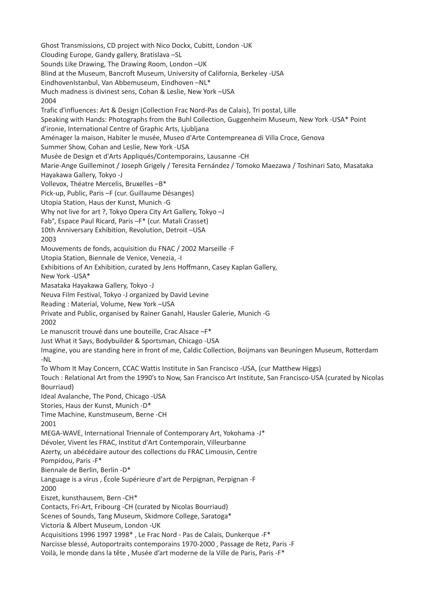Ghost Transmissions, CD project with Nico Dockx, Cubitt, London -UK Clouding Europe, Gandy gallery, Bratislava –SL Sounds Like Drawing, The Drawing Room, London –UK Blind at the Museum, Bancroft Museum, University of California, Berkeley -USA EindhovenIstanbul, Van Abbemuseum, Eindhoven –NL\* Much madness is divinest sens, Cohan & Leslie, New York –USA 2004 Trafic d'influences: Art & Design (Collection Frac Nord-Pas de Calais), Tri postal, Lille Speaking with Hands: Photographs from the Buhl Collection, Guggenheim Museum, New York -USA\* Point d'ironie, International Centre of Graphic Arts, Ljubljana Aménager la maison, Habiter le musée, Museo d'Arte Contempreanea di Villa Croce, Genova Summer Show, Cohan and Leslie, New York -USA Musée de Design et d'Arts Appliqués/Contemporains, Lausanne -CH Marie-Ange Guilleminot / Joseph Grigely / Teresita Fernández / Tomoko Maezawa / Toshinari Sato, Masataka Hayakawa Gallery, Tokyo -J Vollevox, Théatre Mercelis, Bruxelles –B\* Pick-up, Public, Paris –F (cur. Guillaume Désanges) Utopia Station, Haus der Kunst, Munich -G Why not live for art ?, Tokyo Opera City Art Gallery, Tokyo –J Fab°, Espace Paul Ricard, Paris –F\* (cur. Matali Crasset) 10th Anniversary Exhibition, Revolution, Detroit –USA 2003 Mouvements de fonds, acquisition du FNAC / 2002 Marseille -F Utopia Station, Biennale de Venice, Venezia, -I Exhibitions of An Exhibition, curated by Jens Hoffmann, Casey Kaplan Gallery, New York -USA\* Masataka Hayakawa Gallery, Tokyo -J Neuva Film Festival, Tokyo -J organized by David Levine Reading : Material, Volume, New York –USA Private and Public, organised by Rainer Ganahl, Hausler Galerie, Munich -G 2002 Le manuscrit trouvé dans une bouteille, Crac Alsace –F\* Just What it Says, Bodybuilder & Sportsman, Chicago -USA Imagine, you are standing here in front of me, Caldic Collection, Boijmans van Beuningen Museum, Rotterdam -NL To Whom It May Concern, CCAC Wattis Institute in San Francisco -USA, (cur Matthew Higgs) Touch : Relational Art from the 1990's to Now, San Francisco Art Institute, San Francisco-USA (curated by Nicolas Bourriaud) Ideal Avalanche, The Pond, Chicago -USA Stories, Haus der Kunst, Munich -D\* Time Machine, Kunstmuseum, Berne -CH 2001 MEGA-WAVE, International Triennale of Contemporary Art, Yokohama -J\* Dévoler, Vivent les FRAC, Institut d'Art Contemporain, Villeurbanne Azerty, un abécédaire autour des collections du FRAC Limousin, Centre Pompidou, Paris -F\* Biennale de Berlin, Berlin -D\* Language is a virus , École Supérieure d'art de Perpignan, Perpignan -F 2000 Eiszet, kunsthausem, Bern -CH\* Contacts, Fri-Art, Fribourg -CH (curated by Nicolas Bourriaud) Scenes of Sounds, Tang Museum, Skidmore College, Saratoga\* Victoria & Albert Museum, London -UK Acquisitions 1996 1997 1998\* , Le Frac Nord - Pas de Calais, Dunkerque -F\* Narcisse blessé, Autoportraits contemporains 1970-2000 , Passage de Retz, Paris -F Voilà, le monde dans la tête , Musée d'art moderne de la Ville de Paris, Paris -F\*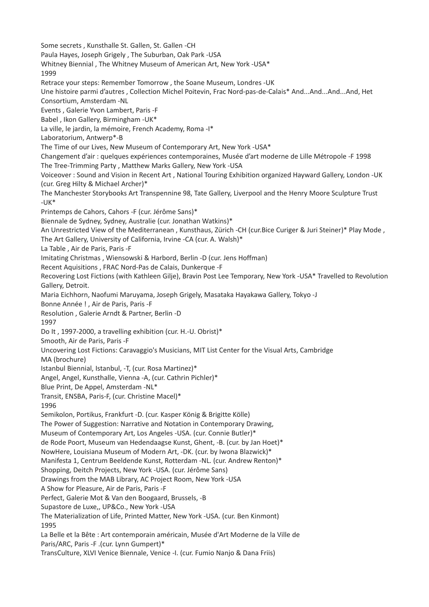Some secrets , Kunsthalle St. Gallen, St. Gallen -CH Paula Hayes, Joseph Grigely , The Suburban, Oak Park -USA Whitney Biennial , The Whitney Museum of American Art, New York -USA\* 1999 Retrace your steps: Remember Tomorrow , the Soane Museum, Londres -UK Une histoire parmi d'autres , Collection Michel Poitevin, Frac Nord-pas-de-Calais\* And...And...And...And, Het Consortium, Amsterdam -NL Events , Galerie Yvon Lambert, Paris -F Babel , Ikon Gallery, Birmingham -UK\* La ville, le jardin, la mémoire, French Academy, Roma -I\* Laboratorium, Antwerp\*-B The Time of our Lives, New Museum of Contemporary Art, New York -USA\* Changement d'air : quelques expériences contemporaines, Musée d'art moderne de Lille Métropole -F 1998 The Tree-Trimming Party , Matthew Marks Gallery, New York -USA Voiceover : Sound and Vision in Recent Art , National Touring Exhibition organized Hayward Gallery, London -UK (cur. Greg Hilty & Michael Archer)\* The Manchester Storybooks Art Transpennine 98, Tate Gallery, Liverpool and the Henry Moore Sculpture Trust -UK\* Printemps de Cahors, Cahors -F (cur. Jérôme Sans)\* Biennale de Sydney, Sydney, Australie (cur. Jonathan Watkins)\* An Unrestricted View of the Mediterranean, Kunsthaus, Zürich -CH (cur.Bice Curiger & Juri Steiner)\* Play Mode, The Art Gallery, University of California, Irvine -CA (cur. A. Walsh)\* La Table , Air de Paris, Paris -F Imitating Christmas , Wiensowski & Harbord, Berlin -D (cur. Jens Hoffman) Recent Aquisitions , FRAC Nord-Pas de Calais, Dunkerque -F Recovering Lost Fictions (with Kathleen Gilje), Bravin Post Lee Temporary, New York -USA\* Travelled to Revolution Gallery, Detroit. Maria Eichhorn, Naofumi Maruyama, Joseph Grigely, Masataka Hayakawa Gallery, Tokyo -J Bonne Année ! , Air de Paris, Paris -F Resolution , Galerie Arndt & Partner, Berlin -D 1997 Do It , 1997-2000, a travelling exhibition (cur. H.-U. Obrist)\* Smooth, Air de Paris, Paris -F Uncovering Lost Fictions: Caravaggio's Musicians, MIT List Center for the Visual Arts, Cambridge MA (brochure) Istanbul Biennial, Istanbul, -T, (cur. Rosa Martinez)\* Angel, Angel, Kunsthalle, Vienna -A, (cur. Cathrin Pichler)\* Blue Print, De Appel, Amsterdam -NL\* Transit, ENSBA, Paris-F, (cur. Christine Macel)\* 1996 Semikolon, Portikus, Frankfurt -D. (cur. Kasper König & Brigitte Kölle) The Power of Suggestion: Narrative and Notation in Contemporary Drawing, Museum of Contemporary Art, Los Angeles -USA. (cur. Connie Butler)\* de Rode Poort, Museum van Hedendaagse Kunst, Ghent, -B. (cur. by Jan Hoet)\* NowHere, Louisiana Museum of Modern Art, -DK. (cur. by Iwona Blazwick)\* Manifesta 1, Centrum Beeldende Kunst, Rotterdam -NL. (cur. Andrew Renton)\* Shopping, Deitch Projects, New York -USA. (cur. Jérôme Sans) Drawings from the MAB Library, AC Project Room, New York -USA A Show for Pleasure, Air de Paris, Paris -F Perfect, Galerie Mot & Van den Boogaard, Brussels, -B Supastore de Luxe,, UP&Co., New York -USA The Materialization of Life, Printed Matter, New York -USA. (cur. Ben Kinmont) 1995 La Belle et la Bête : Art contemporain américain, Musée d'Art Moderne de la Ville de Paris/ARC, Paris -F .(cur. Lynn Gumpert)\* TransCulture, XLVI Venice Biennale, Venice -I. (cur. Fumio Nanjo & Dana Friis)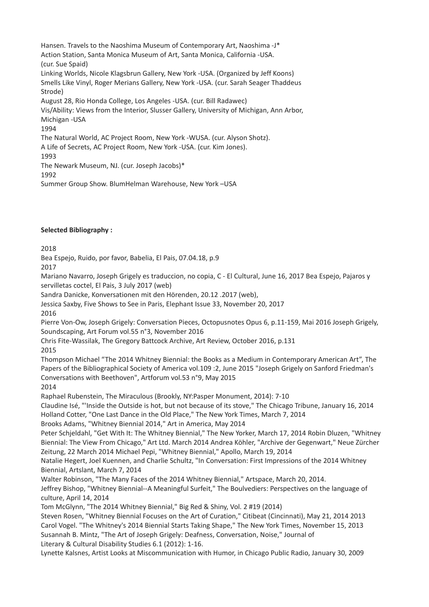Hansen. Travels to the Naoshima Museum of Contemporary Art, Naoshima -J\* Action Station, Santa Monica Museum of Art, Santa Monica, California -USA. (cur. Sue Spaid) Linking Worlds, Nicole Klagsbrun Gallery, New York -USA. (Organized by Jeff Koons) Smells Like Vinyl, Roger Merians Gallery, New York -USA. (cur. Sarah Seager Thaddeus Strode) August 28, Rio Honda College, Los Angeles -USA. (cur. Bill Radawec) Vis/Ability: Views from the Interior, Slusser Gallery, University of Michigan, Ann Arbor, Michigan -USA 1994 The Natural World, AC Project Room, New York -WUSA. (cur. Alyson Shotz). A Life of Secrets, AC Project Room, New York -USA. (cur. Kim Jones). 1993 The Newark Museum, NJ. (cur. Joseph Jacobs)\* 1992 Summer Group Show. BlumHelman Warehouse, New York –USA

## **Selected Bibliography :**

### 2018

Bea Espejo, Ruido, por favor, Babelia, El Pais, 07.04.18, p.9

2017

Mariano Navarro, Joseph Grigely es traduccion, no copia, C - El Cultural, June 16, 2017 Bea Espejo, Pajaros y servilletas coctel, El Pais, 3 July 2017 (web)

Sandra Danicke, Konversationen mit den Hörenden, 20.12 .2017 (web),

Jessica Saxby, Five Shows to See in Paris, Elephant Issue 33, November 20, 2017

2016

Pierre Von-Ow, Joseph Grigely: Conversation Pieces, Octopusnotes Opus 6, p.11-159, Mai 2016 Joseph Grigely, Soundscaping, Art Forum vol.55 n°3, November 2016

Chris Fite-Wassilak, The Gregory Battcock Archive, Art Review, October 2016, p.131

# 2015

Thompson Michael "The 2014 Whitney Biennial: the Books as a Medium in Contemporary American Art", The Papers of the Bibliographical Society of America vol.109 :2, June 2015 "Joseph Grigely on Sanford Friedman's Conversations with Beethoven", Artforum vol.53 n°9, May 2015

2014

Raphael Rubenstein, The Miraculous (Brookly, NY:Pasper Monument, 2014): 7-10

Claudine Isé, "'Inside the Outside is hot, but not because of its stove," The Chicago Tribune, January 16, 2014 Holland Cotter, "One Last Dance in the Old Place," The New York Times, March 7, 2014

Brooks Adams, "Whitney Biennial 2014," Art in America, May 2014

Peter Schjeldahl, "Get With It: The Whitney Biennial," The New Yorker, March 17, 2014 Robin Dluzen, "Whitney Biennial: The View From Chicago," Art Ltd. March 2014 Andrea Köhler, "Archive der Gegenwart," Neue Zürcher Zeitung, 22 March 2014 Michael Pepi, "Whitney Biennial," Apollo, March 19, 2014

Natalie Hegert, Joel Kuennen, and Charlie Schultz, "In Conversation: First Impressions of the 2014 Whitney Biennial, Artslant, March 7, 2014

Walter Robinson, "The Many Faces of the 2014 Whitney Biennial," Artspace, March 20, 2014.

Jeffrey Bishop, "Whitney Biennial--A Meaningful Surfeit," The Boulvediers: Perspectives on the language of culture, April 14, 2014

Tom McGlynn, "The 2014 Whitney Biennial," Big Red & Shiny, Vol. 2 #19 (2014)

Steven Rosen, "Whitney Biennial Focuses on the Art of Curation," Citibeat (Cincinnati), May 21, 2014 2013 Carol Vogel. "The Whitney's 2014 Biennial Starts Taking Shape," The New York Times, November 15, 2013 Susannah B. Mintz, "The Art of Joseph Grigely: Deafness, Conversation, Noise," Journal of Literary & Cultural Disability Studies 6.1 (2012): 1-16.

Lynette Kalsnes, Artist Looks at Miscommunication with Humor, in Chicago Public Radio, January 30, 2009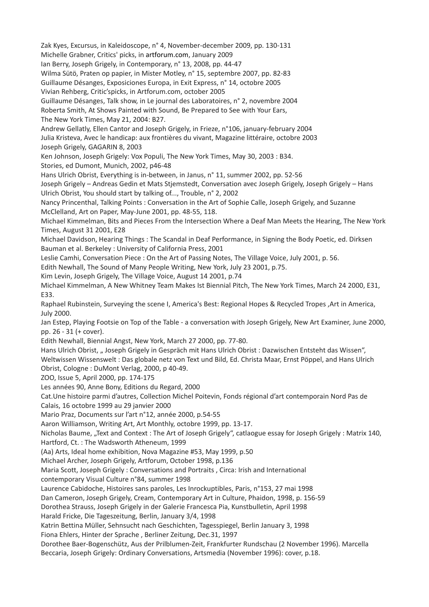Zak Kyes, Excursus, in Kaleidoscope, n° 4, November-december 2009, pp. 130-131 Michelle Grabner, Critics' picks, in artforum.com, January 2009 Ian Berry, Joseph Grigely, in Contemporary, n° 13, 2008, pp. 44-47 Wilma Sütö, Praten op papier, in Mister Motley, n° 15, septembre 2007, pp. 82-83 Guillaume Désanges, Exposiciones Europa, in Exit Express, n° 14, octobre 2005 Vivian Rehberg, Critic'spicks, in Artforum.com, october 2005 Guillaume Désanges, Talk show, in Le journal des Laboratoires, n° 2, novembre 2004 Roberta Smith, At Shows Painted with Sound, Be Prepared to See with Your Ears, The New York Times, May 21, 2004: B27. Andrew Gellatly, Ellen Cantor and Joseph Grigely, in Frieze, n°106, january-february 2004 Julia Kristeva, Avec le handicap: aux frontières du vivant, Magazine littéraire, octobre 2003 Joseph Grigely, GAGARIN 8, 2003 Ken Johnson, Joseph Grigely: Vox Populi, The New York Times, May 30, 2003 : B34. Stories, ed Dumont, Munich, 2002, p46-48 Hans Ulrich Obrist, Everything is in-between, in Janus, n° 11, summer 2002, pp. 52-56 Joseph Grigely – Andreas Gedin et Mats Stjemstedt, Conversation avec Joseph Grigely, Joseph Grigely – Hans Ulrich Obrist, You should start by talking of..., Trouble, n° 2, 2002 Nancy Princenthal, Talking Points : Conversation in the Art of Sophie Calle, Joseph Grigely, and Suzanne McClelland, Art on Paper, May-June 2001, pp. 48-55, 118. Michael Kimmelman, Bits and Pieces From the Intersection Where a Deaf Man Meets the Hearing, The New York Times, August 31 2001, E28 Michael Davidson, Hearing Things : The Scandal in Deaf Performance, in Signing the Body Poetic, ed. Dirksen Bauman et al. Berkeley : University of California Press, 2001 Leslie Camhi, Conversation Piece : On the Art of Passing Notes, The Village Voice, July 2001, p. 56. Edith Newhall, The Sound of Many People Writing, New York, July 23 2001, p.75. Kim Levin, Joseph Grigely, The Village Voice, August 14 2001, p.74 Michael Kimmelman, A New Whitney Team Makes Ist Biennial Pitch, The New York Times, March 24 2000, E31, E33. Raphael Rubinstein, Surveying the scene I, America's Best: Regional Hopes & Recycled Tropes ,Art in America, July 2000. Jan Estep, Playing Footsie on Top of the Table - a conversation with Joseph Grigely, New Art Examiner, June 2000, pp. 26 - 31 (+ cover). Edith Newhall, Biennial Angst, New York, March 27 2000, pp. 77-80. Hans Ulrich Obrist, "Joseph Grigely in Gespräch mit Hans Ulrich Obrist : Dazwischen Entsteht das Wissen", Weltwissen Wissenswelt : Das globale netz von Text und Bild, Ed. Christa Maar, Ernst Pöppel, and Hans Ulrich Obrist, Cologne : DuMont Verlag, 2000, p 40-49. ZOO, Issue 5, April 2000, pp. 174-175 Les années 90, Anne Bony, Editions du Regard, 2000 Cat.Une histoire parmi d'autres, Collection Michel Poitevin, Fonds régional d'art contemporain Nord Pas de Calais, 16 octobre 1999 au 29 janvier 2000 Mario Praz, Documents sur l'art n°12, année 2000, p.54-55 Aaron Williamson, Writing Art, Art Monthly, octobre 1999, pp. 13-17. Nicholas Baume, "Text and Context : The Art of Joseph Grigely", catlaogue essay for Joseph Grigely : Matrix 140, Hartford, Ct. : The Wadsworth Atheneum, 1999 (Aa) Arts, Ideal home exhibition, Nova Magazine #53, May 1999, p.50 Michael Archer, Joseph Grigely, Artforum, October 1998, p.136 Maria Scott, Joseph Grigely : Conversations and Portraits , Circa: Irish and International contemporary Visual Culture n°84, summer 1998 Laurence Cabidoche, Histoires sans paroles, Les Inrockuptibles, Paris, n°153, 27 mai 1998 Dan Cameron, Joseph Grigely, Cream, Contemporary Art in Culture, Phaidon, 1998, p. 156-59 Dorothea Strauss, Joseph Grigely in der Galerie Francesca Pia, Kunstbulletin, April 1998 Harald Fricke, Die Tageszeitung, Berlin, January 3/4, 1998 Katrin Bettina Müller, Sehnsucht nach Geschichten, Tagesspiegel, Berlin January 3, 1998 Fiona Ehlers, Hinter der Sprache , Berliner Zeitung, Dec.31, 1997 Dorothee Baer-Bogenschütz, Aus der Prilblumen-Zeit, Frankfurter Rundschau (2 November 1996). Marcella

Beccaria, Joseph Grigely: Ordinary Conversations, Artsmedia (November 1996): cover, p.18.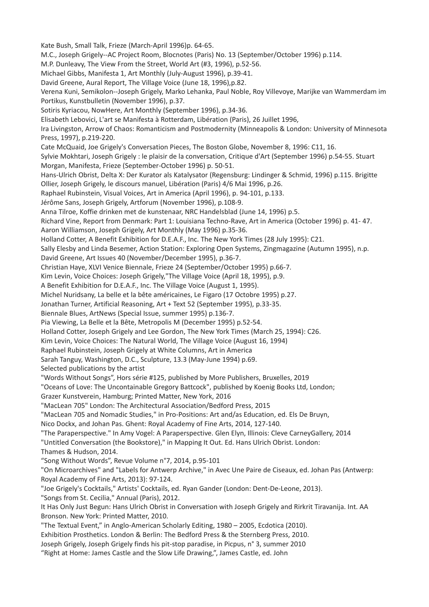Kate Bush, Small Talk, Frieze (March-April 1996)p. 64-65. M.C., Joseph Grigely--AC Project Room, Blocnotes (Paris) No. 13 (September/October 1996) p.114. M.P. Dunleavy, The View From the Street, World Art (#3, 1996), p.52-56. Michael Gibbs, Manifesta 1, Art Monthly (July-August 1996), p.39-41. David Greene, Aural Report, The Village Voice (June 18, 1996),p.82. Verena Kuni, Semikolon--Joseph Grigely, Marko Lehanka, Paul Noble, Roy Villevoye, Marijke van Wammerdam im Portikus, Kunstbulletin (November 1996), p.37. Sotiris Kyriacou, NowHere, Art Monthly (September 1996), p.34-36. Elisabeth Lebovici, L'art se Manifesta à Rotterdam, Libération (Paris), 26 Juillet 1996, Ira Livingston, Arrow of Chaos: Romanticism and Postmodernity (Minneapolis & London: University of Minnesota Press, 1997), p.219-220. Cate McQuaid, Joe Grigely's Conversation Pieces, The Boston Globe, November 8, 1996: C11, 16. Sylvie Mokhtari, Joseph Grigely : le plaisir de la conversation, Critique d'Art (September 1996) p.54-55. Stuart Morgan, Manifesta, Frieze (September-October 1996) p. 50-51. Hans-Ulrich Obrist, Delta X: Der Kurator als Katalysator (Regensburg: Lindinger & Schmid, 1996) p.115. Brigitte Ollier, Joseph Grigely, le discours manuel, Libération (Paris) 4/6 Mai 1996, p.26. Raphael Rubinstein, Visual Voices, Art in America (April 1996), p. 94-101, p.133. Jérôme Sans, Joseph Grigely, Artforum (November 1996), p.108-9. Anna Tilroe, Koffie drinken met de kunstenaar, NRC Handelsblad (June 14, 1996) p.5. Richard Vine, Report from Denmark: Part 1: Louisiana Techno-Rave, Art in America (October 1996) p. 41- 47. Aaron Williamson, Joseph Grigely, Art Monthly (May 1996) p.35-36. Holland Cotter, A Benefit Exhibition for D.E.A.F., Inc. The New York Times (28 July 1995): C21. Sally Elesby and Linda Besemer, Action Station: Exploring Open Systems, Zingmagazine (Autumn 1995), n.p. David Greene, Art Issues 40 (November/December 1995), p.36-7. Christian Haye, XLVI Venice Biennale, Frieze 24 (September/October 1995) p.66-7. Kim Levin, Voice Choices: Joseph Grigely,"The Village Voice (April 18, 1995), p.9. A Benefit Exhibition for D.E.A.F., Inc. The Village Voice (August 1, 1995). Michel Nuridsany, La belle et la bête américaines, Le Figaro (17 Octobre 1995) p.27. Jonathan Turner, Artificial Reasoning, Art + Text 52 (September 1995), p.33-35. Biennale Blues, ArtNews (Special Issue, summer 1995) p.136-7. Pia Viewing, La Belle et la Bête, Metropolis M (December 1995) p.52-54. Holland Cotter, Joseph Grigely and Lee Gordon, The New York Times (March 25, 1994): C26. Kim Levin, Voice Choices: The Natural World, The Village Voice (August 16, 1994) Raphael Rubinstein, Joseph Grigely at White Columns, Art in America Sarah Tanguy, Washington, D.C., Sculpture, 13.3 (May-June 1994) p.69. Selected publications by the artist "Words Without Songs", Hors série #125, published by More Publishers, Bruxelles, 2019 "Oceans of Love: The Uncontainable Gregory Battcock", published by Koenig Books Ltd, London; Grazer Kunstverein, Hamburg; Printed Matter, New York, 2016 "MacLean 705" London: The Architectural Association/Bedford Press, 2015 "MacLean 705 and Nomadic Studies," in Pro-Positions: Art and/as Education, ed. Els De Bruyn, Nico Dockx, and Johan Pas. Ghent: Royal Academy of Fine Arts, 2014, 127-140. "The Paraperspective." In Amy Vogel: A Paraperspective. Glen Elyn, Illinois: Cleve CarneyGallery, 2014 "Untitled Conversation (the Bookstore)," in Mapping It Out. Ed. Hans Ulrich Obrist. London: Thames & Hudson, 2014. "Song Without Words", Revue Volume n°7, 2014, p.95-101 "On Microarchives" and "Labels for Antwerp Archive," in Avec Une Paire de Ciseaux, ed. Johan Pas (Antwerp: Royal Academy of Fine Arts, 2013): 97-124. "Joe Grigely's Cocktails," Artists' Cocktails, ed. Ryan Gander (London: Dent-De-Leone, 2013). "Songs from St. Cecilia," Annual (Paris), 2012. It Has Only Just Begun: Hans Ulrich Obrist in Conversation with Joseph Grigely and Rirkrit Tiravanija. Int. AA Bronson. New York: Printed Matter, 2010. "The Textual Event," in Anglo-American Scholarly Editing, 1980 – 2005, Ecdotica (2010). Exhibition Prosthetics. London & Berlin: The Bedford Press & the Sternberg Press, 2010. Joseph Grigely, Joseph Grigely finds his pit-stop paradise, in Picpus, n° 3, summer 2010 "Right at Home: James Castle and the Slow Life Drawing,", James Castle, ed. John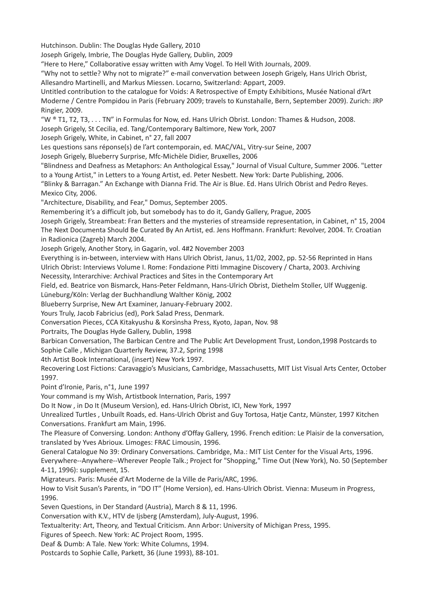Hutchinson. Dublin: The Douglas Hyde Gallery, 2010

Joseph Grigely, Imbrie, The Douglas Hyde Gallery, Dublin, 2009

"Here to Here," Collaborative essay written with Amy Vogel. To Hell With Journals, 2009.

"Why not to settle? Why not to migrate?" e-mail convervation between Joseph Grigely, Hans Ulrich Obrist, Allesandro Martinelli, and Markus Miessen. Locarno, Switzerland: Appart, 2009.

Untitled contribution to the catalogue for Voids: A Retrospective of Empty Exhibitions, Musée National d'Art Moderne / Centre Pompidou in Paris (February 2009; travels to Kunstahalle, Bern, September 2009). Zurich: JRP Ringier, 2009.

"W ® T1, T2, T3, . . . TN" in Formulas for Now, ed. Hans Ulrich Obrist. London: Thames & Hudson, 2008.

Joseph Grigely, St Cecilia, ed. Tang/Contemporary Baltimore, New York, 2007

Joseph Grigely, White, in Cabinet, n° 27, fall 2007

Les questions sans réponse(s) de l'art contemporain, ed. MAC/VAL, Vitry-sur Seine, 2007

Joseph Grigely, Blueberry Surprise, Mfc-Michèle Didier, Bruxelles, 2006

"Blindness and Deafness as Metaphors: An Anthological Essay," Journal of Visual Culture, Summer 2006. "Letter to a Young Artist," in Letters to a Young Artist, ed. Peter Nesbett. New York: Darte Publishing, 2006.

"Blinky & Barragan." An Exchange with Dianna Frid. The Air is Blue. Ed. Hans Ulrich Obrist and Pedro Reyes. Mexico City, 2006.

"Architecture, Disability, and Fear," Domus, September 2005.

Remembering it's a difficult job, but somebody has to do it, Gandy Gallery, Prague, 2005

Joseph Grigely, Streambeat: Fran Betters and the mysteries of streamside representation, in Cabinet, n° 15, 2004 The Next Documenta Should Be Curated By An Artist, ed. Jens Hoffmann. Frankfurt: Revolver, 2004. Tr. Croatian in Radionica (Zagreb) March 2004.

Joseph Grigely, Another Story, in Gagarin, vol. 4#2 November 2003

Everything is in-between, interview with Hans Ulrich Obrist, Janus, 11/02, 2002, pp. 52-56 Reprinted in Hans Ulrich Obrist: Interviews Volume I. Rome: Fondazione Pitti Immagine Discovery / Charta, 2003. Archiving Necessity, Interarchive: Archival Practices and Sites in the Contemporary Art

Field, ed. Beatrice von Bismarck, Hans-Peter Feldmann, Hans-Ulrich Obrist, Diethelm Stoller, Ulf Wuggenig.

Lüneburg/Köln: Verlag der Buchhandlung Walther König, 2002

Blueberry Surprise, New Art Examiner, January-February 2002.

Yours Truly, Jacob Fabricius (ed), Pork Salad Press, Denmark.

Conversation Pieces, CCA Kitakyushu & Korsìnsha Press, Kyoto, Japan, Nov. 98

Portraits, The Douglas Hyde Gallery, Dublin, 1998

Barbican Conversation, The Barbican Centre and The Public Art Development Trust, London,1998 Postcards to Sophie Calle , Michigan Quarterly Review, 37.2, Spring 1998

4th Artist Book International, (insert) New York 1997.

Recovering Lost Fictions: Caravaggio's Musicians, Cambridge, Massachusetts, MIT List Visual Arts Center, October 1997.

Point d'Ironie, Paris, n°1, June 1997

Your command is my Wish, Artistbook Internation, Paris, 1997

Do It Now , in Do It (Museum Version), ed. Hans-Ulrich Obrist, ICI, New York, 1997

Unrealized Turtles , Unbuilt Roads, ed. Hans-Ulrich Obrist and Guy Tortosa, Hatje Cantz, Münster, 1997 Kitchen Conversations. Frankfurt am Main, 1996.

The Pleasure of Conversing. London: Anthony d'Offay Gallery, 1996. French edition: Le Plaisir de la conversation, translated by Yves Abrioux. Limoges: FRAC Limousin, 1996.

General Catalogue No 39: Ordinary Conversations. Cambridge, Ma.: MIT List Center for the Visual Arts, 1996.

Everywhere--Anywhere--Wherever People Talk.; Project for "Shopping," Time Out (New York), No. 50 (September 4-11, 1996): supplement, 15.

Migrateurs. Paris: Musée d'Art Moderne de la Ville de Paris/ARC, 1996.

How to Visit Susan's Parents, in "DO IT" (Home Version), ed. Hans-Ulrich Obrist. Vienna: Museum in Progress, 1996.

Seven Questions, in Der Standard (Austria), March 8 & 11, 1996.

Conversation with K.V., HTV de Ijsberg (Amsterdam), July-August, 1996.

Textualterity: Art, Theory, and Textual Criticism. Ann Arbor: University of Michigan Press, 1995.

Figures of Speech. New York: AC Project Room, 1995.

Deaf & Dumb: A Tale. New York: White Columns, 1994.

Postcards to Sophie Calle, Parkett, 36 (June 1993), 88-101.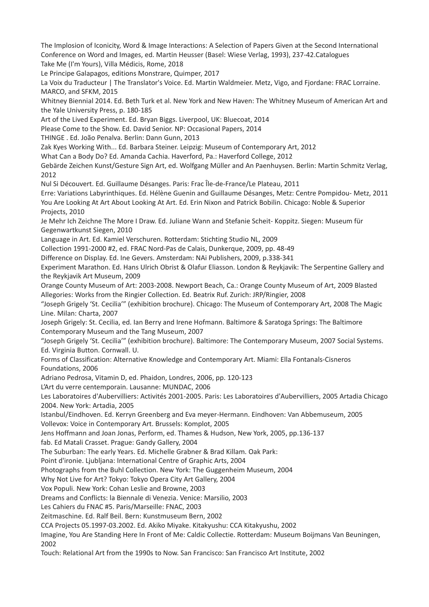The Implosion of Iconicity, Word & Image Interactions: A Selection of Papers Given at the Second International Conference on Word and Images, ed. Martin Heusser (Basel: Wiese Verlag, 1993), 237-42.Catalogues Take Me (I'm Yours), Villa Médicis, Rome, 2018 Le Principe Galapagos, editions Monstrare, Quimper, 2017

La Voix du Traducteur | The Translator's Voice. Ed. Martin Waldmeier. Metz, Vigo, and Fjordane: FRAC Lorraine. MARCO, and SFKM, 2015

Whitney Biennial 2014. Ed. Beth Turk et al. New York and New Haven: The Whitney Museum of American Art and the Yale University Press, p. 180-185

Art of the Lived Experiment. Ed. Bryan Biggs. Liverpool, UK: Bluecoat, 2014

Please Come to the Show. Ed. David Senior. NP: Occasional Papers, 2014

THINGE . Ed. João Penalva. Berlin: Dann Gunn, 2013

Zak Kyes Working With... Ed. Barbara Steiner. Leipzig: Museum of Contemporary Art, 2012

What Can a Body Do? Ed. Amanda Cachia. Haverford, Pa.: Haverford College, 2012

Gebärde Zeichen Kunst/Gesture Sign Art, ed. Wolfgang Müller and An Paenhuysen. Berlin: Martin Schmitz Verlag, 2012

Nul Si Découvert. Ed. Guillaume Désanges. Paris: Frac Île-de-France/Le Plateau, 2011

Erre: Variations Labyrinthiques. Ed. Hélène Guenin and Guillaume Désanges, Metz: Centre Pompidou- Metz, 2011 You Are Looking At Art About Looking At Art. Ed. Erin Nixon and Patrick Bobilin. Chicago: Noble & Superior Projects, 2010

Je Mehr Ich Zeichne The More I Draw. Ed. Juliane Wann and Stefanie Scheit- Koppitz. Siegen: Museum für Gegenwartkunst Siegen, 2010

Language in Art. Ed. Kamiel Verschuren. Rotterdam: Stichting Studio NL, 2009

Collection 1991-2000 #2, ed. FRAC Nord-Pas de Calais, Dunkerque, 2009, pp. 48-49

Difference on Display. Ed. Ine Gevers. Amsterdam: NAi Publishers, 2009, p.338-341

Experiment Marathon. Ed. Hans Ulrich Obrist & Olafur Eliasson. London & Reykjavik: The Serpentine Gallery and the Reykjavik Art Museum, 2009

Orange County Museum of Art: 2003-2008. Newport Beach, Ca.: Orange County Museum of Art, 2009 Blasted Allegories: Works from the Ringier Collection. Ed. Beatrix Ruf. Zurich: JRP/Ringier, 2008

"Joseph Grigely 'St. Cecilia'" (exhibition brochure). Chicago: The Museum of Contemporary Art, 2008 The Magic Line. Milan: Charta, 2007

Joseph Grigely: St. Cecilia, ed. Ian Berry and Irene Hofmann. Baltimore & Saratoga Springs: The Baltimore Contemporary Museum and the Tang Museum, 2007

"Joseph Grigely 'St. Cecilia'" (exhibition brochure). Baltimore: The Contemporary Museum, 2007 Social Systems. Ed. Virginia Button. Cornwall. U.

Forms of Classification: Alternative Knowledge and Contemporary Art. Miami: Ella Fontanals-Cisneros Foundations, 2006

Adriano Pedrosa, Vitamin D, ed. Phaidon, Londres, 2006, pp. 120-123

L'Art du verre centemporain. Lausanne: MUNDAC, 2006

Les Laboratoires d'Aubervilliers: Activités 2001-2005. Paris: Les Laboratoires d'Aubervilliers, 2005 Artadia Chicago 2004. New York: Artadia, 2005

Istanbul/Eindhoven. Ed. Kerryn Greenberg and Eva meyer-Hermann. Eindhoven: Van Abbemuseum, 2005 Vollevox: Voice in Contemporary Art. Brussels: Komplot, 2005

Jens Hoffmann and Joan Jonas, Perform, ed. Thames & Hudson, New York, 2005, pp.136-137

fab. Ed Matali Crasset. Prague: Gandy Gallery, 2004

The Suburban: The early Years. Ed. Michelle Grabner & Brad Killam. Oak Park:

Point d'ironie. Ljubljana: International Centre of Graphic Arts, 2004

Photographs from the Buhl Collection. New York: The Guggenheim Museum, 2004

Why Not Live for Art? Tokyo: Tokyo Opera City Art Gallery, 2004

Vox Populi. New York: Cohan Leslie and Browne, 2003

Dreams and Conflicts: la Biennale di Venezia. Venice: Marsilio, 2003

Les Cahiers du FNAC #5. Paris/Marseille: FNAC, 2003

Zeitmaschine. Ed. Ralf Beil. Bern: Kunstmuseum Bern, 2002

CCA Projects 05.1997-03.2002. Ed. Akiko Miyake. Kitakyushu: CCA Kitakyushu, 2002

Imagine, You Are Standing Here In Front of Me: Caldic Collectie. Rotterdam: Museum Boijmans Van Beuningen, 2002

Touch: Relational Art from the 1990s to Now. San Francisco: San Francisco Art Institute, 2002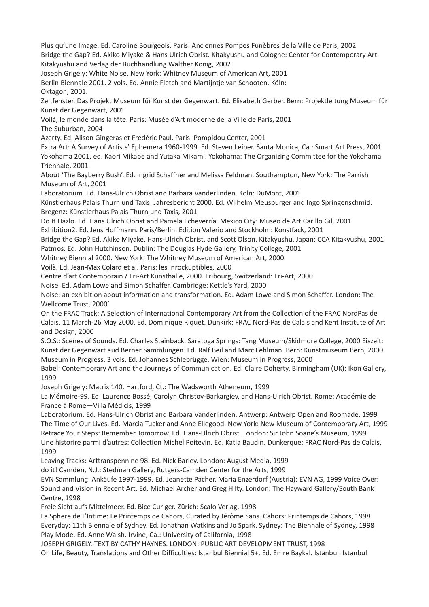Plus qu'une Image. Ed. Caroline Bourgeois. Paris: Anciennes Pompes Funèbres de la Ville de Paris, 2002 Bridge the Gap? Ed. Akiko Miyake & Hans Ulrich Obrist. Kitakyushu and Cologne: Center for Contemporary Art Kitakyushu and Verlag der Buchhandlung Walther König, 2002 Joseph Grigely: White Noise. New York: Whitney Museum of American Art, 2001 Berlin Biennale 2001. 2 vols. Ed. Annie Fletch and Martijntje van Schooten. Köln: Oktagon, 2001. Zeitfenster. Das Projekt Museum für Kunst der Gegenwart. Ed. Elisabeth Gerber. Bern: Projektleitung Museum für Kunst der Gegenwart, 2001 Voilà, le monde dans la tête. Paris: Musée d'Art moderne de la Ville de Paris, 2001 The Suburban, 2004 Azerty. Ed. Alison Gingeras et Frédéric Paul. Paris: Pompidou Center, 2001 Extra Art: A Survey of Artists' Ephemera 1960-1999. Ed. Steven Leiber. Santa Monica, Ca.: Smart Art Press, 2001 Yokohama 2001, ed. Kaori Mikabe and Yutaka Mikami. Yokohama: The Organizing Committee for the Yokohama Triennale, 2001 About 'The Bayberry Bush'. Ed. Ingrid Schaffner and Melissa Feldman. Southampton, New York: The Parrish Museum of Art, 2001 Laboratorium. Ed. Hans-Ulrich Obrist and Barbara Vanderlinden. Köln: DuMont, 2001 Künstlerhaus Palais Thurn und Taxis: Jahresbericht 2000. Ed. Wilhelm Meusburger and Ingo Springenschmid. Bregenz: Künstlerhaus Palais Thurn und Taxis, 2001 Do It Hazlo. Ed. Hans Ulrich Obrist and Pamela Echeverría. Mexico City: Museo de Art Carillo Gil, 2001 Exhibition2. Ed. Jens Hoffmann. Paris/Berlin: Edition Valerio and Stockholm: Konstfack, 2001 Bridge the Gap? Ed. Akiko Miyake, Hans-Ulrich Obrist, and Scott Olson. Kitakyushu, Japan: CCA Kitakyushu, 2001 Patmos. Ed. John Hutchinson. Dublin: The Douglas Hyde Gallery, Trinity College, 2001 Whitney Biennial 2000. New York: The Whitney Museum of American Art, 2000 Voilà. Ed. Jean-Max Colard et al. Paris: les Inrockuptibles, 2000 Centre d'art Contemporain / Fri-Art Kunsthalle, 2000. Fribourg, Switzerland: Fri-Art, 2000 Noise. Ed. Adam Lowe and Simon Schaffer. Cambridge: Kettle's Yard, 2000 Noise: an exhibition about information and transformation. Ed. Adam Lowe and Simon Schaffer. London: The Wellcome Trust, 2000` On the FRAC Track: A Selection of International Contemporary Art from the Collection of the FRAC NordPas de Calais, 11 March-26 May 2000. Ed. Dominique Riquet. Dunkirk: FRAC Nord-Pas de Calais and Kent Institute of Art and Design, 2000 S.O.S.: Scenes of Sounds. Ed. Charles Stainback. Saratoga Springs: Tang Museum/Skidmore College, 2000 Eiszeit: Kunst der Gegenwart aud Berner Sammlungen. Ed. Ralf Beil and Marc Fehlman. Bern: Kunstmuseum Bern, 2000 Museum in Progress. 3 vols. Ed. Johannes Schlebrügge. Wien: Museum in Progress, 2000 Babel: Contemporary Art and the Journeys of Communication. Ed. Claire Doherty. Birmingham (UK): Ikon Gallery, 1999 Joseph Grigely: Matrix 140. Hartford, Ct.: The Wadsworth Atheneum, 1999 La Mémoire-99. Ed. Laurence Bossé, Carolyn Christov-Barkargiev, and Hans-Ulrich Obrist. Rome: Académie de France à Rome—Villa Médicis, 1999 Laboratorium. Ed. Hans-Ulrich Obrist and Barbara Vanderlinden. Antwerp: Antwerp Open and Roomade, 1999 The Time of Our Lives. Ed. Marcia Tucker and Anne Ellegood. New York: New Museum of Contemporary Art, 1999 Retrace Your Steps: Remember Tomorrow. Ed. Hans-Ulrich Obrist. London: Sir John Soane's Museum, 1999 Une historire parmi d'autres: Collection Michel Poitevin. Ed. Katia Baudin. Dunkerque: FRAC Nord-Pas de Calais, 1999 Leaving Tracks: Arttranspennine 98. Ed. Nick Barley. London: August Media, 1999 do it! Camden, N.J.: Stedman Gallery, Rutgers-Camden Center for the Arts, 1999 EVN Sammlung: Ankäufe 1997-1999. Ed. Jeanette Pacher. Maria Enzerdorf (Austria): EVN AG, 1999 Voice Over: Sound and Vision in Recent Art. Ed. Michael Archer and Greg Hilty. London: The Hayward Gallery/South Bank Centre, 1998 Freie Sicht aufs Mittelmeer. Ed. Bice Curiger. Zürich: Scalo Verlag, 1998

La Sphere de L'Intime: Le Printemps de Cahors, Curated by Jérôme Sans. Cahors: Printemps de Cahors, 1998 Everyday: 11th Biennale of Sydney. Ed. Jonathan Watkins and Jo Spark. Sydney: The Biennale of Sydney, 1998 Play Mode. Ed. Anne Walsh. Irvine, Ca.: University of California, 1998

JOSEPH GRIGELY. TEXT BY CATHY HAYNES. LONDON: PUBLIC ART DEVELOPMENT TRUST, 1998 On Life, Beauty, Translations and Other Difficulties: Istanbul Biennial 5+. Ed. Emre Baykal. Istanbul: Istanbul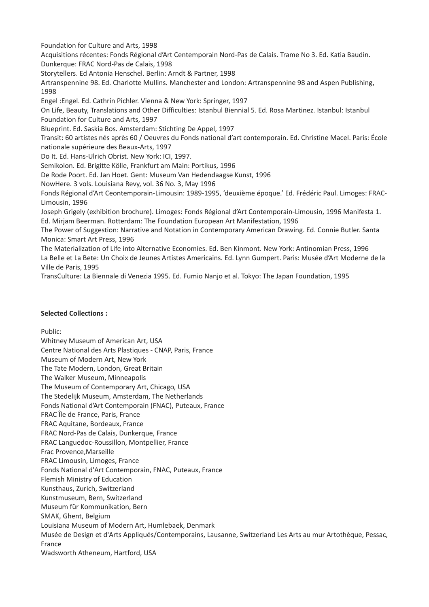Foundation for Culture and Arts, 1998

Acquisitions récentes: Fonds Régional d'Art Centemporain Nord-Pas de Calais. Trame No 3. Ed. Katia Baudin. Dunkerque: FRAC Nord-Pas de Calais, 1998

Storytellers. Ed Antonia Henschel. Berlin: Arndt & Partner, 1998

Artranspennine 98. Ed. Charlotte Mullins. Manchester and London: Artranspennine 98 and Aspen Publishing, 1998

Engel :Engel. Ed. Cathrin Pichler. Vienna & New York: Springer, 1997

On Life, Beauty, Translations and Other Difficulties: Istanbul Biennial 5. Ed. Rosa Martinez. Istanbul: Istanbul Foundation for Culture and Arts, 1997

Blueprint. Ed. Saskia Bos. Amsterdam: Stichting De Appel, 1997

Transit: 60 artistes nés après 60 / Oeuvres du Fonds national d'art contemporain. Ed. Christine Macel. Paris: École nationale supérieure des Beaux-Arts, 1997

Do It. Ed. Hans-Ulrich Obrist. New York: ICI, 1997.

Semikolon. Ed. Brigitte Kölle, Frankfurt am Main: Portikus, 1996

De Rode Poort. Ed. Jan Hoet. Gent: Museum Van Hedendaagse Kunst, 1996

NowHere. 3 vols. Louisiana Revy, vol. 36 No. 3, May 1996

Fonds Régional d'Art Ceontemporain-Limousin: 1989-1995, 'deuxième époque.' Ed. Frédéric Paul. Limoges: FRAC-Limousin, 1996

Joseph Grigely (exhibition brochure). Limoges: Fonds Régional d'Art Contemporain-Limousin, 1996 Manifesta 1. Ed. Mirjam Beerman. Rotterdam: The Foundation European Art Manifestation, 1996

The Power of Suggestion: Narrative and Notation in Contemporary American Drawing. Ed. Connie Butler. Santa Monica: Smart Art Press, 1996

The Materialization of Life into Alternative Economies. Ed. Ben Kinmont. New York: Antinomian Press, 1996 La Belle et La Bete: Un Choix de Jeunes Artistes Americains. Ed. Lynn Gumpert. Paris: Musée d'Art Moderne de la Ville de Paris, 1995

TransCulture: La Biennale di Venezia 1995. Ed. Fumio Nanjo et al. Tokyo: The Japan Foundation, 1995

## **Selected Collections :**

Public:

Whitney Museum of American Art, USA Centre National des Arts Plastiques - CNAP, Paris, France Museum of Modern Art, New York The Tate Modern, London, Great Britain The Walker Museum, Minneapolis The Museum of Contemporary Art, Chicago, USA The Stedelijk Museum, Amsterdam, The Netherlands Fonds National d'Art Contemporain (FNAC), Puteaux, France FRAC Île de France, Paris, France FRAC Aquitane, Bordeaux, France FRAC Nord-Pas de Calais, Dunkerque, France FRAC Languedoc-Roussillon, Montpellier, France Frac Provence,Marseille FRAC Limousin, Limoges, France Fonds National d'Art Contemporain, FNAC, Puteaux, France Flemish Ministry of Education Kunsthaus, Zurich, Switzerland Kunstmuseum, Bern, Switzerland Museum für Kommunikation, Bern SMAK, Ghent, Belgium Louisiana Museum of Modern Art, Humlebaek, Denmark Musée de Design et d'Arts Appliqués/Contemporains, Lausanne, Switzerland Les Arts au mur Artothèque, Pessac, France Wadsworth Atheneum, Hartford, USA